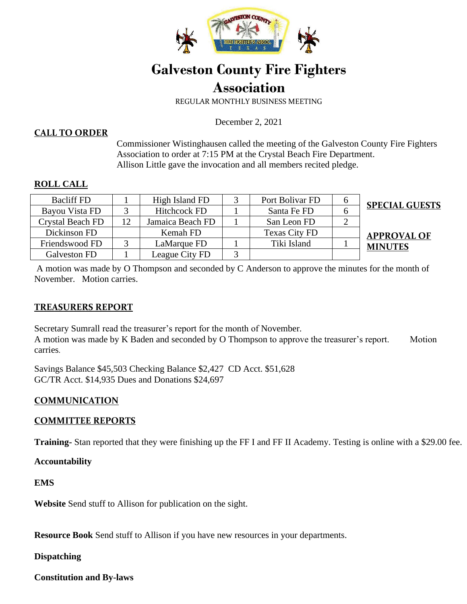

# **Galveston County Fire Fighters Association**

REGULAR MONTHLY BUSINESS MEETING

December 2, 2021

### **CALL TO ORDER**

Commissioner Wistinghausen called the meeting of the Galveston County Fire Fighters Association to order at 7:15 PM at the Crystal Beach Fire Department. Allison Little gave the invocation and all members recited pledge.

#### **ROLL CALL**

| <b>Bacliff FD</b> | High Island FD      | Port Bolivar FD      | <b>SPECIAL GUESTS</b> |
|-------------------|---------------------|----------------------|-----------------------|
| Bayou Vista FD    | <b>Hitchcock FD</b> | Santa Fe FD          |                       |
| Crystal Beach FD  | Jamaica Beach FD    | San Leon FD          |                       |
| Dickinson FD      | Kemah FD            | <b>Texas City FD</b> | <b>APPROVAL OF</b>    |
| Friendswood FD    | LaMarque FD         | Tiki Island          | <b>MINUTES</b>        |
| Galveston FD      | League City FD      |                      |                       |

A motion was made by O Thompson and seconded by C Anderson to approve the minutes for the month of November. Motion carries.

### **TREASURERS REPORT**

Secretary Sumrall read the treasurer's report for the month of November. A motion was made by K Baden and seconded by O Thompson to approve the treasurer's report. Motion carries.

Savings Balance \$45,503 Checking Balance \$2,427 CD Acct. \$51,628 GC/TR Acct. \$14,935 Dues and Donations \$24,697

### **COMMUNICATION**

#### **COMMITTEE REPORTS**

**Training-** Stan reported that they were finishing up the FF I and FF II Academy. Testing is online with a \$29.00 fee.

**Accountability** 

**EMS** 

**Website** Send stuff to Allison for publication on the sight.

**Resource Book** Send stuff to Allison if you have new resources in your departments.

**Dispatching** 

**Constitution and By-laws**